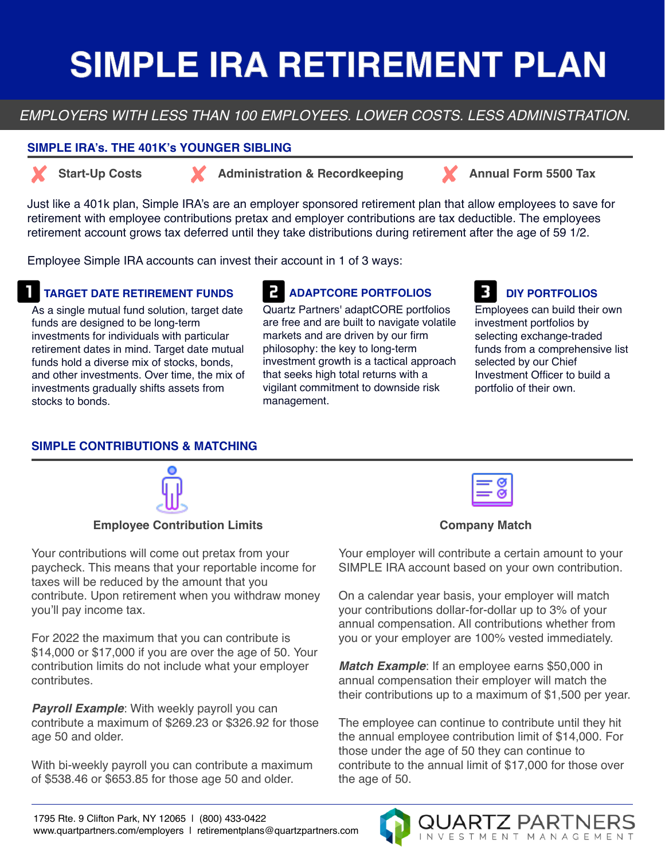# **SIMPLE IRA RETIREMENT PLAN**

## *EMPLOYERS WITH LESS THAN 100 EMPLOYEES. LOWER COSTS. LESS ADMINISTRATION.*

#### **SIMPLE IRA's. THE 401K's YOUNGER SIBLING**



**Start-Up Costs Administration & Recordkeeping Annual Form 5500 Tax** 

Just like a 401k plan, Simple IRA's are an employer sponsored retirement plan that allow employees to save for retirement with employee contributions pretax and employer contributions are tax deductible. The employees retirement account grows tax deferred until they take distributions during retirement after the age of 59 1/2.

Employee Simple IRA accounts can invest their account in 1 of 3 ways:

### **TARGET DATE RETIREMENT FUNDS**

As a single mutual fund solution, target date funds are designed to be long-term investments for individuals with particular retirement dates in mind. Target date mutual funds hold a diverse mix of stocks, bonds, and other investments. Over time, the mix of investments gradually shifts assets from stocks to bonds.

# **ADAPTCORE PORTFOLIOS**

Quartz Partners' adaptCORE portfolios are free and are built to navigate volatile markets and are driven by our firm philosophy: the key to long-term investment growth is a tactical approach that seeks high total returns with a vigilant commitment to downside risk management.

## **DIY PORTFOLIOS**

Employees can build their own investment portfolios by selecting exchange-traded funds from a comprehensive list selected by our Chief Investment Officer to build a portfolio of their own.

### **SIMPLE CONTRIBUTIONS & MATCHING**



#### **Employee Contribution Limits**

Your contributions will come out pretax from your paycheck. This means that your reportable income for taxes will be reduced by the amount that you contribute. Upon retirement when you withdraw money you'll pay income tax.

For 2022 the maximum that you can contribute is \$14,000 or \$17,000 if you are over the age of 50. Your contribution limits do not include what your employer contributes.

**Payroll Example:** With weekly payroll you can contribute a maximum of \$269.23 or \$326.92 for those age 50 and older.

With bi-weekly payroll you can contribute a maximum of \$538.46 or \$653.85 for those age 50 and older.

#### **Company Match**

Your employer will contribute a certain amount to your SIMPLE IRA account based on your own contribution.

On a calendar year basis, your employer will match your contributions dollar-for-dollar up to 3% of your annual compensation. All contributions whether from you or your employer are 100% vested immediately.

*Match Example*: If an employee earns \$50,000 in annual compensation their employer will match the their contributions up to a maximum of \$1,500 per year.

The employee can continue to contribute until they hit the annual employee contribution limit of \$14,000. For those under the age of 50 they can continue to contribute to the annual limit of \$17,000 for those over the age of 50.